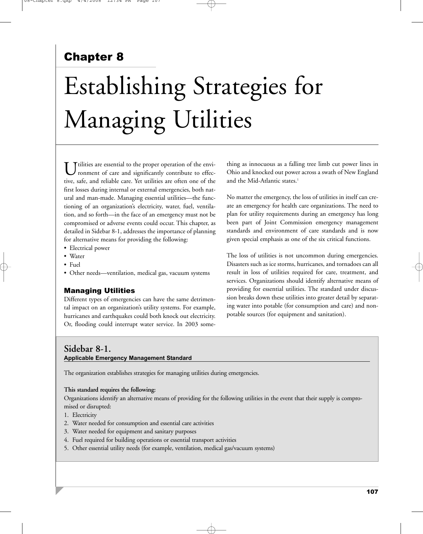# Chapter 8

# Establishing Strategies for Managing Utilities

Ttilities are essential to the proper operation of the environment of care and significantly contribute to effective, safe, and reliable care. Yet utilities are often one of the first losses during internal or external emergencies, both natural and man-made. Managing essential utilities—the functioning of an organization's electricity, water, fuel, ventilation, and so forth—in the face of an emergency must not be compromised or adverse events could occur. This chapter, as detailed in Sidebar 8-1, addresses the importance of planning for alternative means for providing the following:

- Electrical power
- Water
- Fuel
- Other needs—ventilation, medical gas, vacuum systems

# Managing Utilities

Different types of emergencies can have the same detrimental impact on an organization's utility systems. For example, hurricanes and earthquakes could both knock out electricity. Or, flooding could interrupt water service. In 2003 some-

thing as innocuous as a falling tree limb cut power lines in Ohio and knocked out power across a swath of New England and the Mid-Atlantic states.<sup>1</sup>

No matter the emergency, the loss of utilities in itself can create an emergency for health care organizations. The need to plan for utility requirements during an emergency has long been part of Joint Commission emergency management standards and environment of care standards and is now given special emphasis as one of the six critical functions.

The loss of utilities is not uncommon during emergencies. Disasters such as ice storms, hurricanes, and tornadoes can all result in loss of utilities required for care, treatment, and services. Organizations should identify alternative means of providing for essential utilities. The standard under discussion breaks down these utilities into greater detail by separating water into potable (for consumption and care) and nonpotable sources (for equipment and sanitation).

# **Sidebar 8-1. Applicable Emergency Management Standard**

The organization establishes strategies for managing utilities during emergencies.

#### **This standard requires the following:**

Organizations identify an alternative means of providing for the following utilities in the event that their supply is compromised or disrupted:

- 1. Electricity
- 2. Water needed for consumption and essential care activities
- 3. Water needed for equipment and sanitary purposes
- 4. Fuel required for building operations or essential transport activities
- 5. Other essential utility needs (for example, ventilation, medical gas/vacuum systems)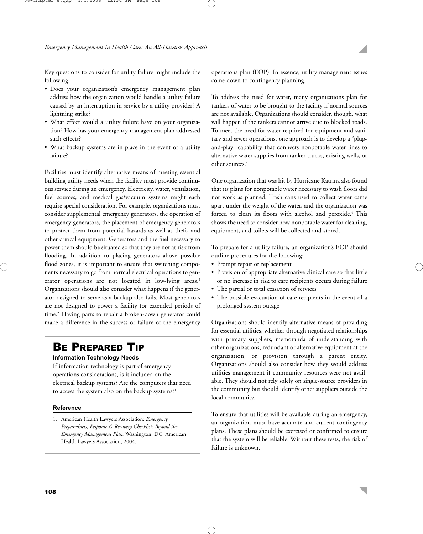Key questions to consider for utility failure might include the following:

- Does your organization's emergency management plan address how the organization would handle a utility failure caused by an interruption in service by a utility provider? A lightning strike?
- What effect would a utility failure have on your organization? How has your emergency management plan addressed such effects?
- What backup systems are in place in the event of a utility failure?

Facilities must identify alternative means of meeting essential building utility needs when the facility must provide continuous service during an emergency. Electricity, water, ventilation, fuel sources, and medical gas/vacuum systems might each require special consideration. For example, organizations must consider supplemental emergency generators, the operation of emergency generators, the placement of emergency generators to protect them from potential hazards as well as theft, and other critical equipment. Generators and the fuel necessary to power them should be situated so that they are not at risk from flooding. In addition to placing generators above possible flood zones, it is important to ensure that switching components necessary to go from normal electrical operations to generator operations are not located in low-lying areas.<sup>2</sup> Organizations should also consider what happens if the generator designed to serve as a backup also fails. Most generators are not designed to power a facility for extended periods of time.<sup>2</sup> Having parts to repair a broken-down generator could make a difference in the success or failure of the emergency

# BE PREPARED TIP

#### **Information Technology Needs**

If information technology is part of emergency operations considerations, is it included on the electrical backup systems? Are the computers that need to access the system also on the backup systems?<sup>1</sup>

#### **Reference**

1. American Health Lawyers Association: *Emergency Preparedness, Response & Recovery Checklist: Beyond the Emergency Management Plan.* Washington, DC: American Health Lawyers Association, 2004.

operations plan (EOP). In essence, utility management issues come down to contingency planning.

To address the need for water, many organizations plan for tankers of water to be brought to the facility if normal sources are not available. Organizations should consider, though, what will happen if the tankers cannot arrive due to blocked roads. To meet the need for water required for equipment and sanitary and sewer operations, one approach is to develop a "plugand-play" capability that connects nonpotable water lines to alternative water supplies from tanker trucks, existing wells, or other sources.<sup>3</sup>

One organization that was hit by Hurricane Katrina also found that its plans for nonpotable water necessary to wash floors did not work as planned. Trash cans used to collect water came apart under the weight of the water, and the organization was forced to clean its floors with alcohol and peroxide.<sup>4</sup> This shows the need to consider how nonpotable water for cleaning, equipment, and toilets will be collected and stored.

To prepare for a utility failure, an organization's EOP should outline procedures for the following:

- Prompt repair or replacement
- Provision of appropriate alternative clinical care so that little or no increase in risk to care recipients occurs during failure
- The partial or total cessation of services
- The possible evacuation of care recipients in the event of a prolonged system outage

Organizations should identify alternative means of providing for essential utilities, whether through negotiated relationships with primary suppliers, memoranda of understanding with other organizations, redundant or alternative equipment at the organization, or provision through a parent entity. Organizations should also consider how they would address utilities management if community resources were not available. They should not rely solely on single-source providers in the community but should identify other suppliers outside the local community.

To ensure that utilities will be available during an emergency, an organization must have accurate and current contingency plans. These plans should be exercised or confirmed to ensure that the system will be reliable. Without these tests, the risk of failure is unknown.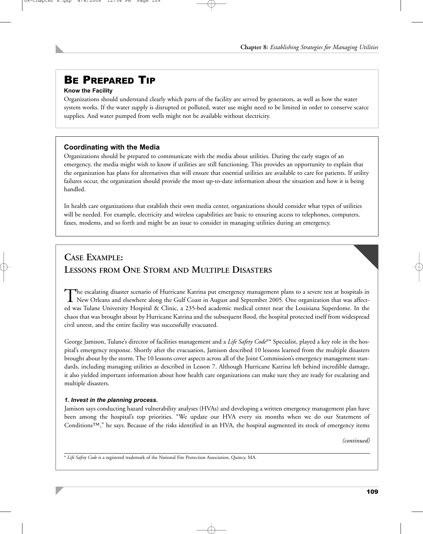# BE PREPARED TIP

# **Know the Facility**

Organizations should understand clearly which parts of the facility are served by generators, as well as how the water system works. If the water supply is disrupted or polluted, water use might need to be limited in order to conserve scarce supplies. And water pumped from wells might not be available without electricity.

# **Coordinating with the Media**

Organizations should be prepared to communicate with the media about utilities. During the early stages of an emergency, the media might wish to know if utilities are still functioning. This provides an opportunity to explain that the organization has plans for alternatives that will ensure that essential utilities are available to care for patients. If utility failures occur, the organization should provide the most up-to-date information about the situation and how it is being handled.

In health care organizations that establish their own media center, organizations should consider what types of utilities will be needed. For example, electricity and wireless capabilities are basic to ensuring access to telephones, computers, faxes, modems, and so forth and might be an issue to consider in managing utilities during an emergency.

# **CASE EXAMPLE: LESSONS FROM ONE STORM AND MULTIPLE DISASTERS**

The escalating disaster scenario of Hurricane Katrina put emergency management plans to a severe test at hospitals in<br>New Orleans and elsewhere along the Gulf Coast in August and September 2005. One organization that was a ed was Tulane University Hospital & Clinic, a 235-bed academic medical center near the Louisiana Superdome. In the chaos that was brought about by Hurricane Katrina and the subsequent flood, the hospital protected itself from widespread civil unrest, and the entire facility was successfully evacuated.

George Jamison, Tulane's director of facilities management and a *Life Safety Code*®\* Specialist, played a key role in the hospital's emergency response. Shortly after the evacuation, Jamison described 10 lessons learned from the multiple disasters brought about by the storm. The 10 lessons cover aspects across all of the Joint Commission's emergency management standards, including managing utilities as described in Lesson 7. Although Hurricane Katrina left behind incredible damage, it also yielded important information about how health care organizations can make sure they are ready for escalating and multiple disasters.

# *1. Invest in the planning process.*

Jamison says conducting hazard vulnerability analyses (HVAs) and developing a written emergency management plan have been among the hospital's top priorities. "We update our HVA every six months when we do our Statement of Conditions™," he says. Because of the risks identified in an HVA, the hospital augmented its stock of emergency items

*(continued)*

\* *Life Safety Code* is a registered trademark of the National Fire Protection Association, Quincy, MA.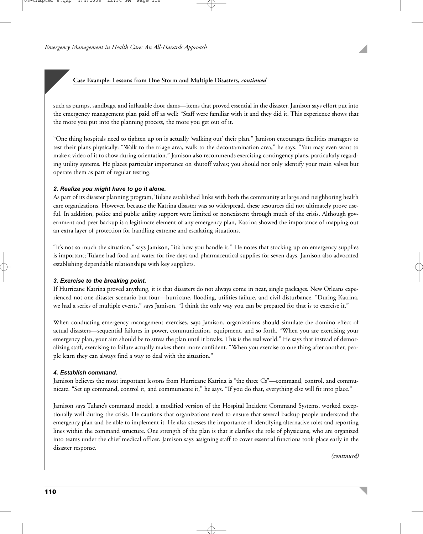such as pumps, sandbags, and inflatable door dams—items that proved essential in the disaster. Jamison says effort put into the emergency management plan paid off as well: "Staff were familiar with it and they did it. This experience shows that the more you put into the planning process, the more you get out of it.

"One thing hospitals need to tighten up on is actually 'walking out' their plan." Jamison encourages facilities managers to test their plans physically: "Walk to the triage area, walk to the decontamination area," he says. "You may even want to make a video of it to show during orientation." Jamison also recommends exercising contingency plans, particularly regarding utility systems. He places particular importance on shutoff valves; you should not only identify your main valves but operate them as part of regular testing.

#### *2. Realize you might have to go it alone.*

As part of its disaster planning program, Tulane established links with both the community at large and neighboring health care organizations. However, because the Katrina disaster was so widespread, these resources did not ultimately prove useful. In addition, police and public utility support were limited or nonexistent through much of the crisis. Although government and peer backup is a legitimate element of any emergency plan, Katrina showed the importance of mapping out an extra layer of protection for handling extreme and escalating situations.

"It's not so much the situation," says Jamison, "it's how you handle it." He notes that stocking up on emergency supplies is important; Tulane had food and water for five days and pharmaceutical supplies for seven days. Jamison also advocated establishing dependable relationships with key suppliers.

# *3. Exercise to the breaking point.*

If Hurricane Katrina proved anything, it is that disasters do not always come in neat, single packages. New Orleans experienced not one disaster scenario but four—hurricane, flooding, utilities failure, and civil disturbance. "During Katrina, we had a series of multiple events," says Jamison. "I think the only way you can be prepared for that is to exercise it."

When conducting emergency management exercises, says Jamison, organizations should simulate the domino effect of actual disasters—sequential failures in power, communication, equipment, and so forth. "When you are exercising your emergency plan, your aim should be to stress the plan until it breaks. This is the real world." He says that instead of demoralizing staff, exercising to failure actually makes them more confident. "When you exercise to one thing after another, people learn they can always find a way to deal with the situation."

# *4. Establish command.*

Jamison believes the most important lessons from Hurricane Katrina is "the three Cs"—command, control, and communicate. "Set up command, control it, and communicate it," he says. "If you do that, everything else will fit into place."

Jamison says Tulane's command model, a modified version of the Hospital Incident Command Systems, worked exceptionally well during the crisis. He cautions that organizations need to ensure that several backup people understand the emergency plan and be able to implement it. He also stresses the importance of identifying alternative roles and reporting lines within the command structure. One strength of the plan is that it clarifies the role of physicians, who are organized into teams under the chief medical officer. Jamison says assigning staff to cover essential functions took place early in the disaster response.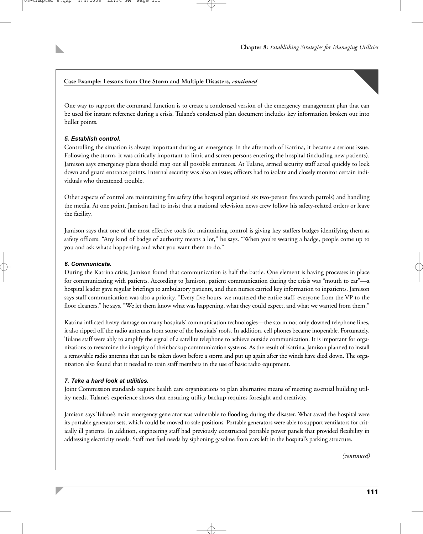One way to support the command function is to create a condensed version of the emergency management plan that can be used for instant reference during a crisis. Tulane's condensed plan document includes key information broken out into bullet points.

### *5. Establish control.*

Controlling the situation is always important during an emergency. In the aftermath of Katrina, it became a serious issue. Following the storm, it was critically important to limit and screen persons entering the hospital (including new patients). Jamison says emergency plans should map out all possible entrances. At Tulane, armed security staff acted quickly to lock down and guard entrance points. Internal security was also an issue; officers had to isolate and closely monitor certain individuals who threatened trouble.

Other aspects of control are maintaining fire safety (the hospital organized six two-person fire watch patrols) and handling the media. At one point, Jamison had to insist that a national television news crew follow his safety-related orders or leave the facility.

Jamison says that one of the most effective tools for maintaining control is giving key staffers badges identifying them as safety officers. "Any kind of badge of authority means a lot," he says. "When you're wearing a badge, people come up to you and ask what's happening and what you want them to do."

#### *6. Communicate.*

During the Katrina crisis, Jamison found that communication is half the battle. One element is having processes in place for communicating with patients. According to Jamison, patient communication during the crisis was "mouth to ear"—a hospital leader gave regular briefings to ambulatory patients, and then nurses carried key information to inpatients. Jamison says staff communication was also a priority. "Every five hours, we mustered the entire staff, everyone from the VP to the floor cleaners," he says. "We let them know what was happening, what they could expect, and what we wanted from them."

Katrina inflicted heavy damage on many hospitals' communication technologies—the storm not only downed telephone lines, it also ripped off the radio antennas from some of the hospitals' roofs. In addition, cell phones became inoperable. Fortunately, Tulane staff were ably to amplify the signal of a satellite telephone to achieve outside communication. It is important for organizations to reexamine the integrity of their backup communication systems. As the result of Katrina, Jamison planned to install a removable radio antenna that can be taken down before a storm and put up again after the winds have died down. The organization also found that it needed to train staff members in the use of basic radio equipment.

#### *7. Take a hard look at utilities.*

Joint Commission standards require health care organizations to plan alternative means of meeting essential building utility needs. Tulane's experience shows that ensuring utility backup requires foresight and creativity.

Jamison says Tulane's main emergency generator was vulnerable to flooding during the disaster. What saved the hospital were its portable generator sets, which could be moved to safe positions. Portable generators were able to support ventilators for critically ill patients. In addition, engineering staff had previously constructed portable power panels that provided flexibility in addressing electricity needs. Staff met fuel needs by siphoning gasoline from cars left in the hospital's parking structure.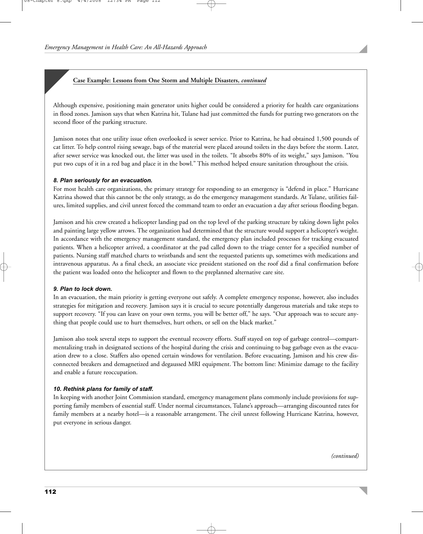Although expensive, positioning main generator units higher could be considered a priority for health care organizations in flood zones. Jamison says that when Katrina hit, Tulane had just committed the funds for putting two generators on the second floor of the parking structure.

Jamison notes that one utility issue often overlooked is sewer service. Prior to Katrina, he had obtained 1,500 pounds of cat litter. To help control rising sewage, bags of the material were placed around toilets in the days before the storm. Later, after sewer service was knocked out, the litter was used in the toilets. "It absorbs 80% of its weight," says Jamison. "You put two cups of it in a red bag and place it in the bowl." This method helped ensure sanitation throughout the crisis.

#### *8. Plan seriously for an evacuation.*

For most health care organizations, the primary strategy for responding to an emergency is "defend in place." Hurricane Katrina showed that this cannot be the only strategy, as do the emergency management standards. At Tulane, utilities failures, limited supplies, and civil unrest forced the command team to order an evacuation a day after serious flooding began.

Jamison and his crew created a helicopter landing pad on the top level of the parking structure by taking down light poles and painting large yellow arrows. The organization had determined that the structure would support a helicopter's weight. In accordance with the emergency management standard, the emergency plan included processes for tracking evacuated patients. When a helicopter arrived, a coordinator at the pad called down to the triage center for a specified number of patients. Nursing staff matched charts to wristbands and sent the requested patients up, sometimes with medications and intravenous apparatus. As a final check, an associate vice president stationed on the roof did a final confirmation before the patient was loaded onto the helicopter and flown to the preplanned alternative care site.

#### *9. Plan to lock down.*

In an evacuation, the main priority is getting everyone out safely. A complete emergency response, however, also includes strategies for mitigation and recovery. Jamison says it is crucial to secure potentially dangerous materials and take steps to support recovery. "If you can leave on your own terms, you will be better off," he says. "Our approach was to secure anything that people could use to hurt themselves, hurt others, or sell on the black market."

Jamison also took several steps to support the eventual recovery efforts. Staff stayed on top of garbage control—compartmentalizing trash in designated sections of the hospital during the crisis and continuing to bag garbage even as the evacuation drew to a close. Staffers also opened certain windows for ventilation. Before evacuating, Jamison and his crew disconnected breakers and demagnetized and degaussed MRI equipment. The bottom line: Minimize damage to the facility and enable a future reoccupation.

#### *10. Rethink plans for family of staff.*

In keeping with another Joint Commission standard, emergency management plans commonly include provisions for supporting family members of essential staff. Under normal circumstances, Tulane's approach—arranging discounted rates for family members at a nearby hotel—is a reasonable arrangement. The civil unrest following Hurricane Katrina, however, put everyone in serious danger.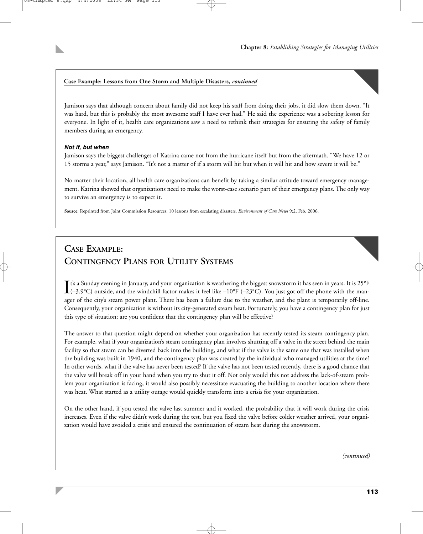Jamison says that although concern about family did not keep his staff from doing their jobs, it did slow them down. "It was hard, but this is probably the most awesome staff I have ever had." He said the experience was a sobering lesson for everyone. In light of it, health care organizations saw a need to rethink their strategies for ensuring the safety of family members during an emergency.

# *Not if, but when*

Jamison says the biggest challenges of Katrina came not from the hurricane itself but from the aftermath. "We have 12 or 15 storms a year," says Jamison. "It's not a matter of if a storm will hit but when it will hit and how severe it will be."

No matter their location, all health care organizations can benefit by taking a similar attitude toward emergency management. Katrina showed that organizations need to make the worst-case scenario part of their emergency plans. The only way to survive an emergency is to expect it.

**Source:** Reprinted from Joint Commission Resources: 10 lessons from escalating disasters. *Environment of Care News* 9:2, Feb. 2006.

# **CASE EXAMPLE: CONTINGENCY PLANS FOR UTILITY SYSTEMS**

 $\int$ t's a Sunday evening in January, and your organization is weathering the biggest snowstorm it has seen in years. It is 25°F (-3.9°C) outside, and the windchill factor makes it feel like –10°F (-23°C). You just got off  $\mathbf{T}$ t's a Sunday evening in January, and your organization is weathering the biggest snowstorm it has seen in years. It is 25 $\mathrm{^{9}F}$ ager of the city's steam power plant. There has been a failure due to the weather, and the plant is temporarily off-line. Consequently, your organization is without its city-generated steam heat. Fortunately, you have a contingency plan for just this type of situation; are you confident that the contingency plan will be effective?

The answer to that question might depend on whether your organization has recently tested its steam contingency plan. For example, what if your organization's steam contingency plan involves shutting off a valve in the street behind the main facility so that steam can be diverted back into the building, and what if the valve is the same one that was installed when the building was built in 1940, and the contingency plan was created by the individual who managed utilities at the time? In other words, what if the valve has never been tested? If the valve has not been tested recently, there is a good chance that the valve will break off in your hand when you try to shut it off. Not only would this not address the lack-of-steam problem your organization is facing, it would also possibly necessitate evacuating the building to another location where there was heat. What started as a utility outage would quickly transform into a crisis for your organization.

On the other hand, if you tested the valve last summer and it worked, the probability that it will work during the crisis increases. Even if the valve didn't work during the test, but you fixed the valve before colder weather arrived, your organization would have avoided a crisis and ensured the continuation of steam heat during the snowstorm.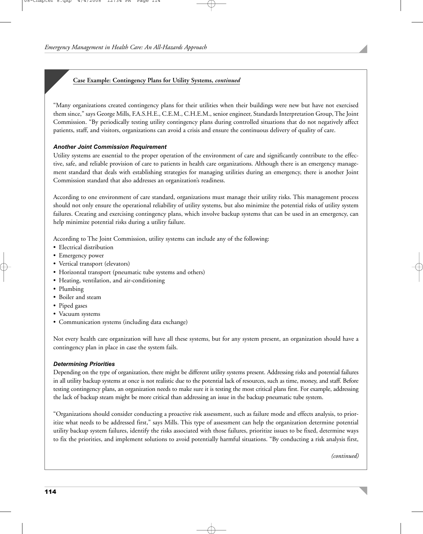# **Case Example: Contingency Plans for Utility Systems,** *continued*

"Many organizations created contingency plans for their utilities when their buildings were new but have not exercised them since," says George Mills, F.A.S.H.E., C.E.M., C.H.E.M., senior engineer, Standards Interpretation Group, The Joint Commission. "By periodically testing utility contingency plans during controlled situations that do not negatively affect patients, staff, and visitors, organizations can avoid a crisis and ensure the continuous delivery of quality of care.

# *Another Joint Commission Requirement*

Utility systems are essential to the proper operation of the environment of care and significantly contribute to the effective, safe, and reliable provision of care to patients in health care organizations. Although there is an emergency management standard that deals with establishing strategies for managing utilities during an emergency, there is another Joint Commission standard that also addresses an organization's readiness.

According to one environment of care standard, organizations must manage their utility risks. This management process should not only ensure the operational reliability of utility systems, but also minimize the potential risks of utility system failures. Creating and exercising contingency plans, which involve backup systems that can be used in an emergency, can help minimize potential risks during a utility failure.

According to The Joint Commission, utility systems can include any of the following:

- Electrical distribution
- Emergency power
- Vertical transport (elevators)
- Horizontal transport (pneumatic tube systems and others)
- Heating, ventilation, and air-conditioning
- Plumbing
- Boiler and steam
- Piped gases
- Vacuum systems
- Communication systems (including data exchange)

Not every health care organization will have all these systems, but for any system present, an organization should have a contingency plan in place in case the system fails.

# *Determining Priorities*

Depending on the type of organization, there might be different utility systems present. Addressing risks and potential failures in all utility backup systems at once is not realistic due to the potential lack of resources, such as time, money, and staff. Before testing contingency plans, an organization needs to make sure it is testing the most critical plans first. For example, addressing the lack of backup steam might be more critical than addressing an issue in the backup pneumatic tube system.

"Organizations should consider conducting a proactive risk assessment, such as failure mode and effects analysis, to prioritize what needs to be addressed first," says Mills. This type of assessment can help the organization determine potential utility backup system failures, identify the risks associated with those failures, prioritize issues to be fixed, determine ways to fix the priorities, and implement solutions to avoid potentially harmful situations. "By conducting a risk analysis first,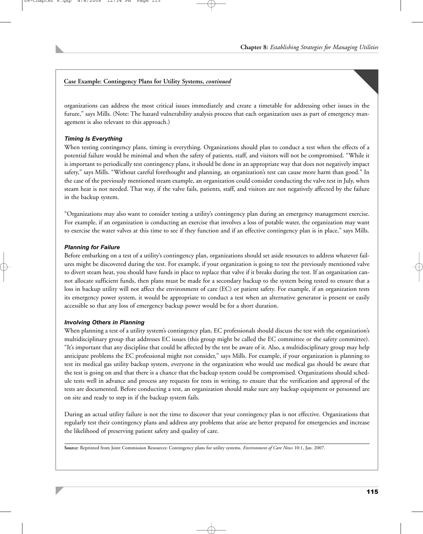# **Case Example: Contingency Plans for Utility Systems,** *continued*

organizations can address the most critical issues immediately and create a timetable for addressing other issues in the future," says Mills. (Note: The hazard vulnerability analysis process that each organization uses as part of emergency management is also relevant to this approach.)

### *Timing Is Everything*

When testing contingency plans, timing is everything. Organizations should plan to conduct a test when the effects of a potential failure would be minimal and when the safety of patients, staff, and visitors will not be compromised. "While it is important to periodically test contingency plans, it should be done in an appropriate way that does not negatively impact safety," says Mills. "Without careful forethought and planning, an organization's test can cause more harm than good." In the case of the previously mentioned steam example, an organization could consider conducting the valve test in July, when steam heat is not needed. That way, if the valve fails, patients, staff, and visitors are not negatively affected by the failure in the backup system.

"Organizations may also want to consider testing a utility's contingency plan during an emergency management exercise. For example, if an organization is conducting an exercise that involves a loss of potable water, the organization may want to exercise the water valves at this time to see if they function and if an effective contingency plan is in place," says Mills.

#### *Planning for Failure*

Before embarking on a test of a utility's contingency plan, organizations should set aside resources to address whatever failures might be discovered during the test. For example, if your organization is going to test the previously mentioned valve to divert steam heat, you should have funds in place to replace that valve if it breaks during the test. If an organization cannot allocate sufficient funds, then plans must be made for a secondary backup to the system being tested to ensure that a loss in backup utility will not affect the environment of care (EC) or patient safety. For example, if an organization tests its emergency power system, it would be appropriate to conduct a test when an alternative generator is present or easily accessible so that any loss of emergency backup power would be for a short duration.

#### *Involving Others in Planning*

When planning a test of a utility system's contingency plan, EC professionals should discuss the test with the organization's multidisciplinary group that addresses EC issues (this group might be called the EC committee or the safety committee). "It's important that any discipline that could be affected by the test be aware of it. Also, a multidisciplinary group may help anticipate problems the EC professional might not consider," says Mills. For example, if your organization is planning to test its medical gas utility backup system, everyone in the organization who would use medical gas should be aware that the test is going on and that there is a chance that the backup system could be compromised. Organizations should schedule tests well in advance and process any requests for tests in writing, to ensure that the verification and approval of the tests are documented. Before conducting a test, an organization should make sure any backup equipment or personnel are on site and ready to step in if the backup system fails.

During an actual utility failure is not the time to discover that your contingency plan is not effective. Organizations that regularly test their contingency plans and address any problems that arise are better prepared for emergencies and increase the likelihood of preserving patient safety and quality of care.

**Source:** Reprinted from Joint Commission Resources: Contingency plans for utility systems. *Environment of Care News* 10:1, Jan. 2007.